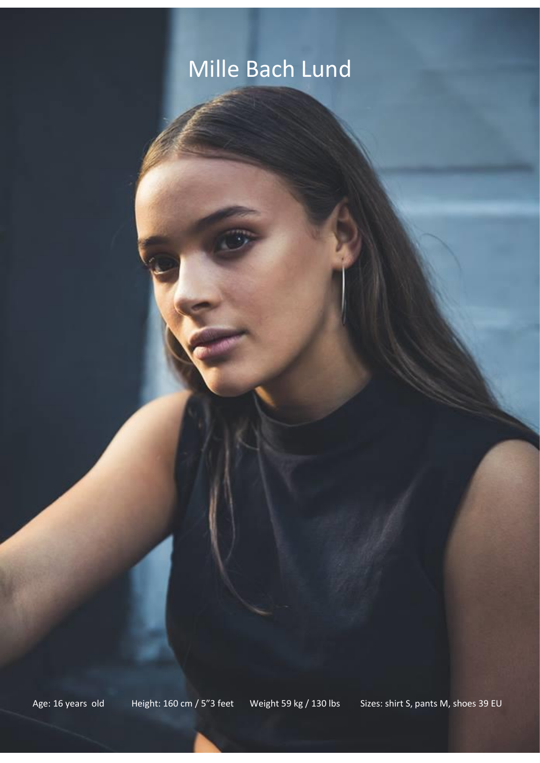# Mille Bach Lund

Age: 16 years old Height: 160 cm / 5"3 feet Weight 59 kg / 130 lbs Sizes: shirt S, pants M, shoes 39 EU